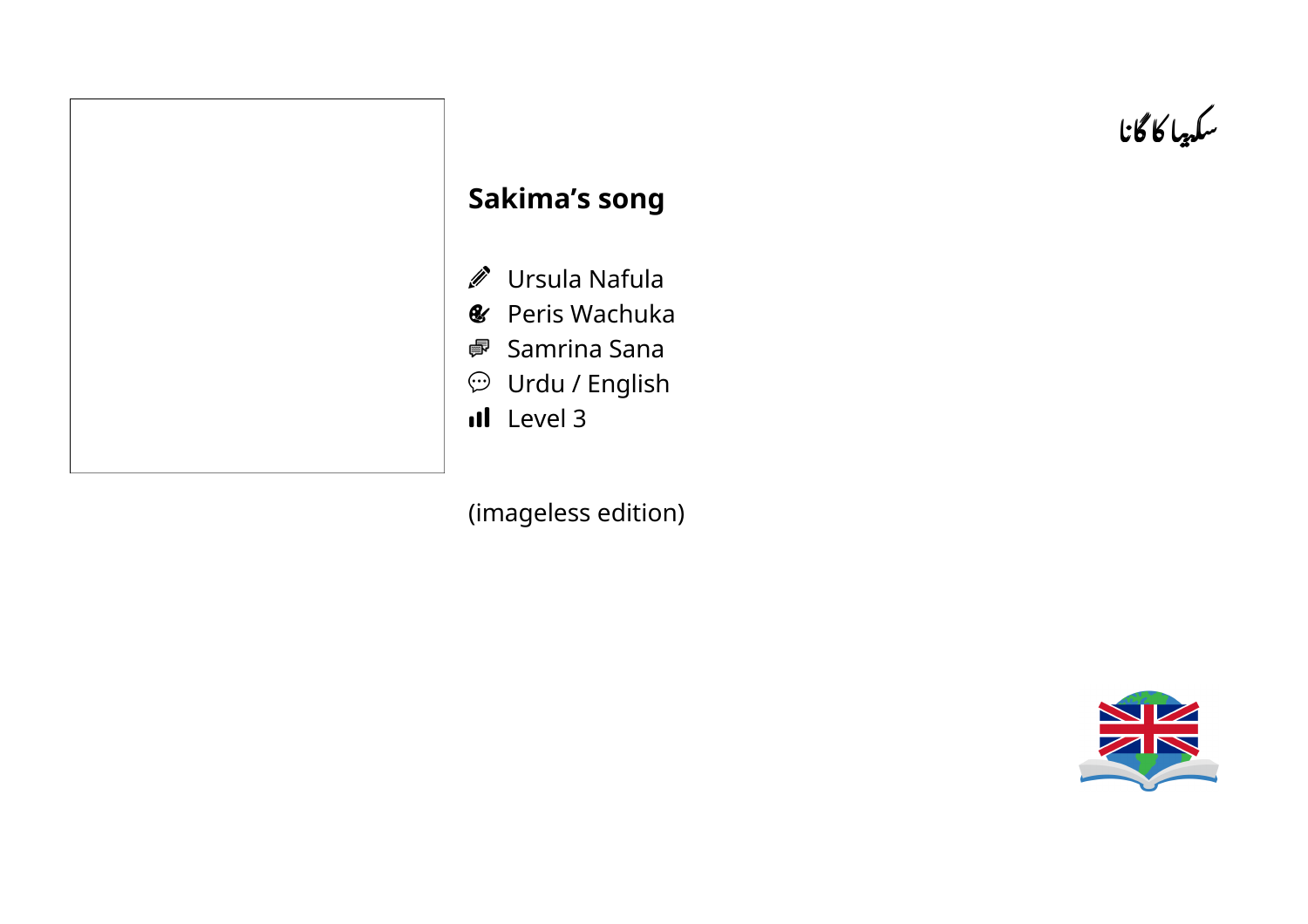سكهيا كالكانا

## **Sakima's song**

Ursula Nafula  $\mathscr{D}$ 

**&** Peris Wachuka

*■* Samrina Sana

**D** Urdu / English

il Level 3

(imageless edition)

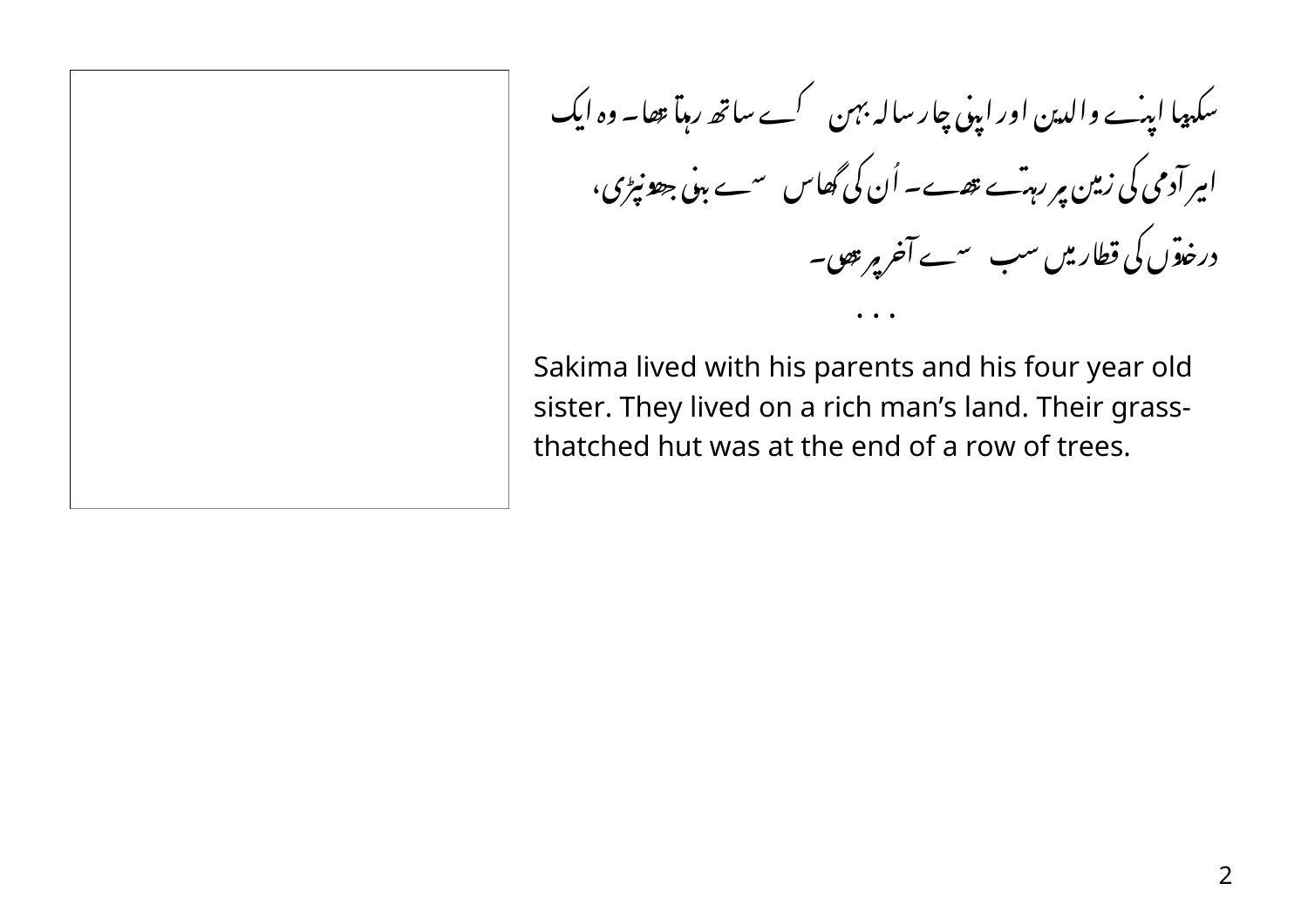Sakima lived with his parents and his four year old sister. They lived on a rich man's land. Their grassthatched hut was at the end of a row of trees.

 $\ddot{\bullet}$   $\ddot{\bullet}$   $\ddot{\bullet}$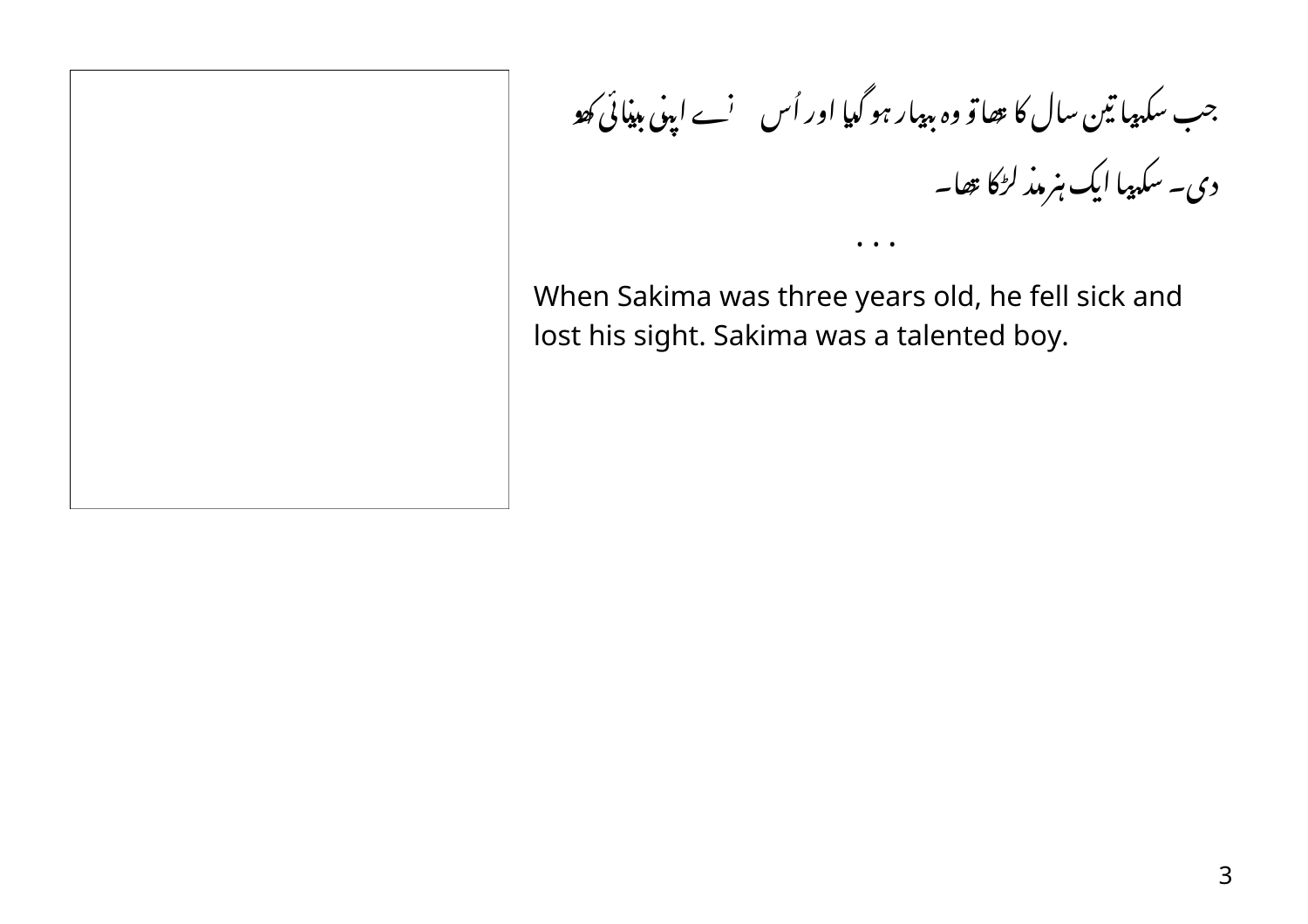When Sakima was three years old, he fell sick and lost his sight. Sakima was a talented boy.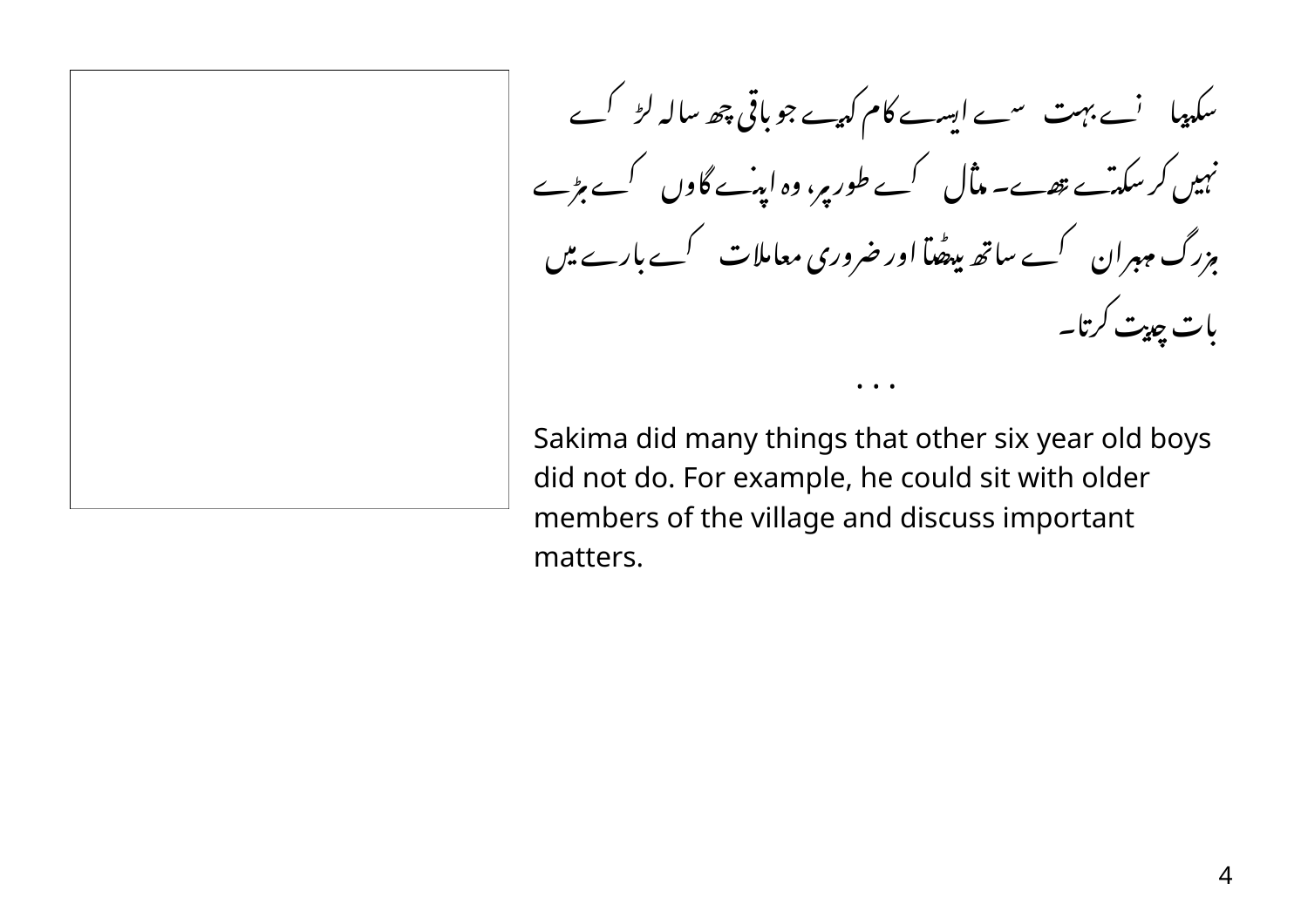سکہیا نے بہت سے ایسے کام کہے جوباقی چھ سالہ لڑ گے نہیں کر سکتے تھے۔ ماُل <sup>ک</sup>ے طور پر، وہ اینے گاوں کے بڑے ہزرگ مہران کے ساتھ میں اور ضروری معاملات کے بارے میں یات حدیت کرتا۔

Sakima did many things that other six year old boys did not do. For example, he could sit with older members of the village and discuss important matters.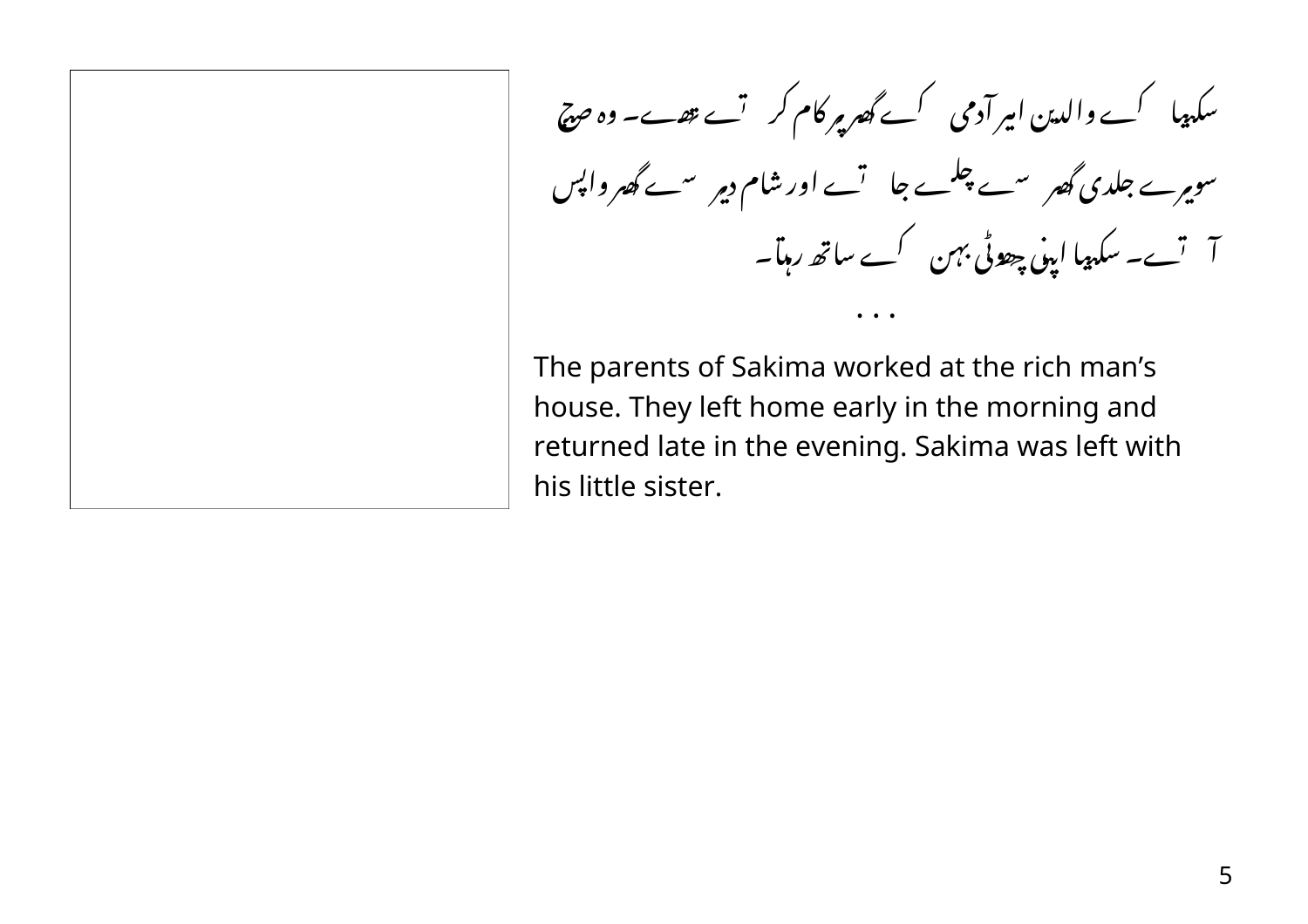$\ddot{\bullet}$   $\ddot{\bullet}$   $\ddot{\bullet}$ 

The parents of Sakima worked at the rich man's house. They left home early in the morning and returned late in the evening. Sakima was left with his little sister.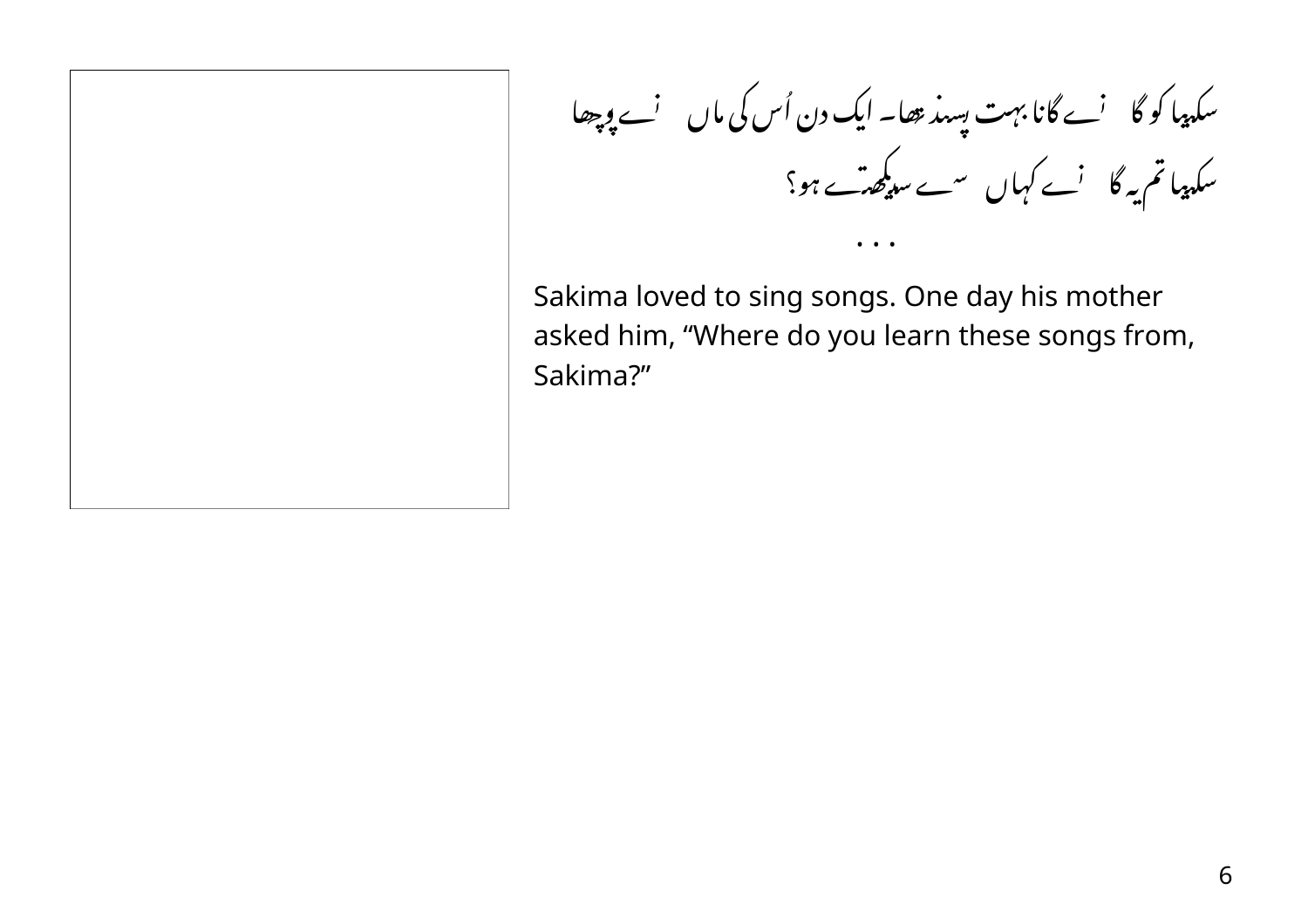Sakima loved to sing songs. One day his mother asked him, "Where do you learn these songs from, Sakima?"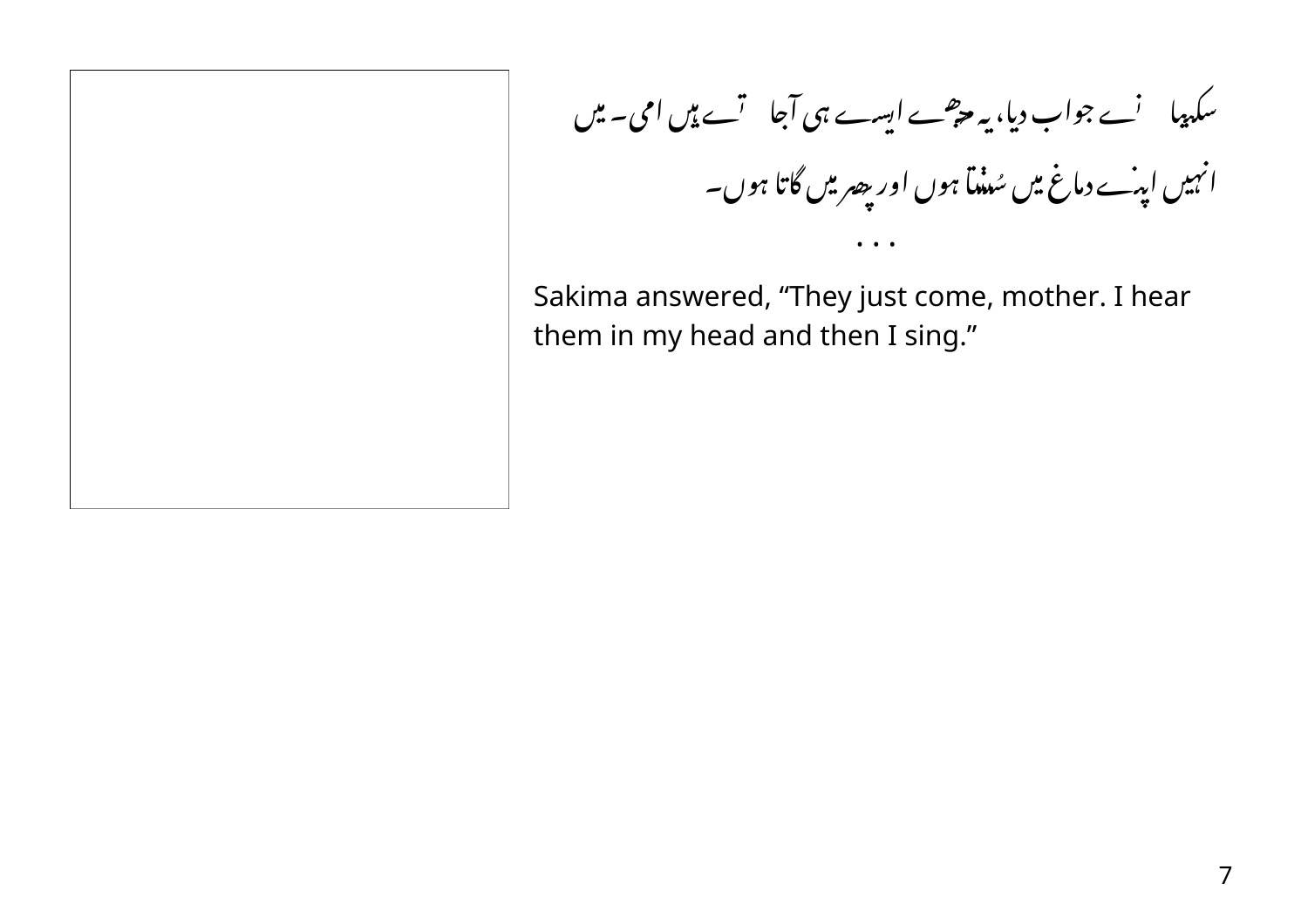Sakima answered, "They just come, mother. I hear them in my head and then I sing."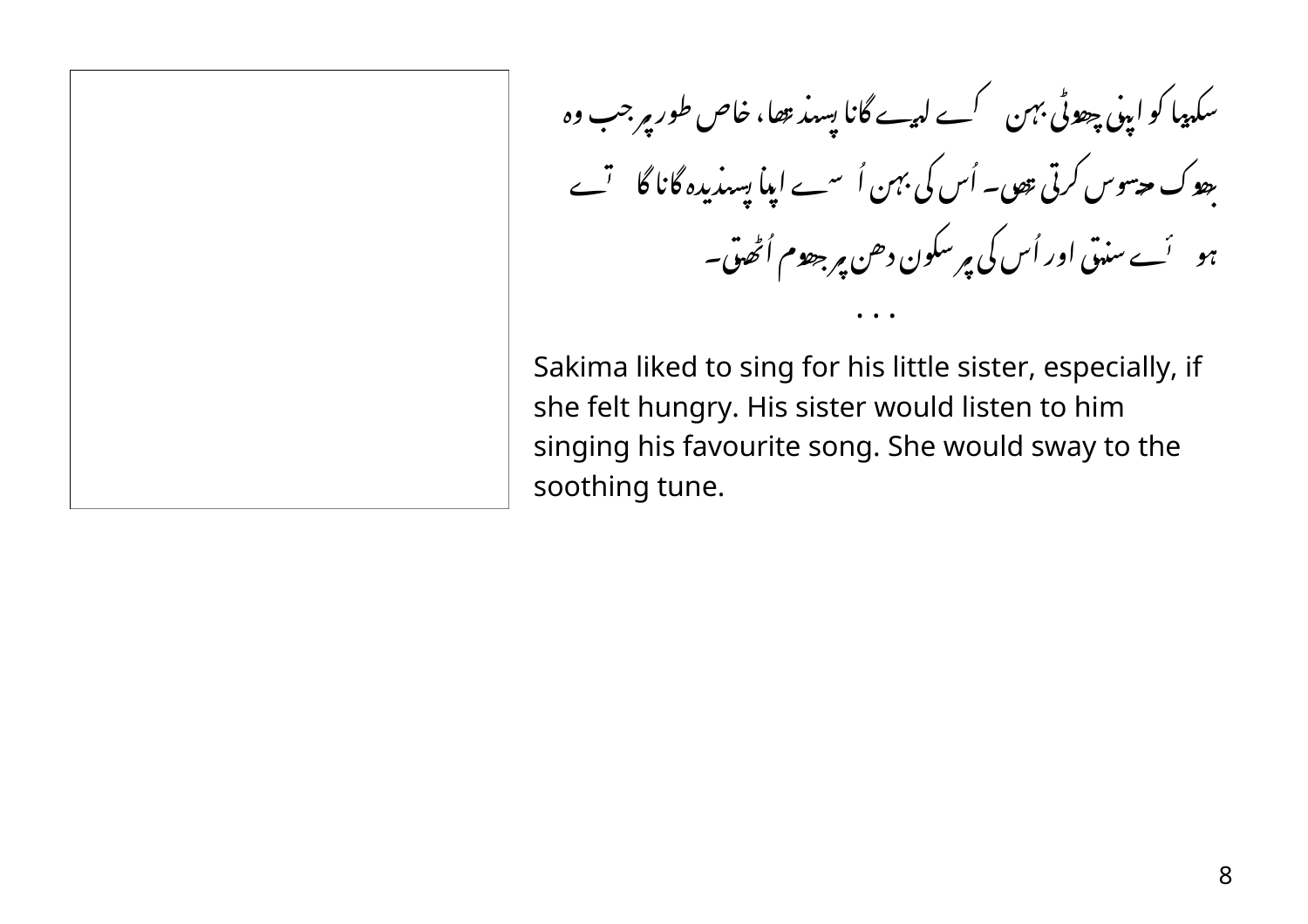Sakima liked to sing for his little sister, especially, if she felt hungry. His sister would listen to him singing his favourite song. She would sway to the soothing tune.

 $\ddot{\bullet}$   $\ddot{\bullet}$   $\ddot{\bullet}$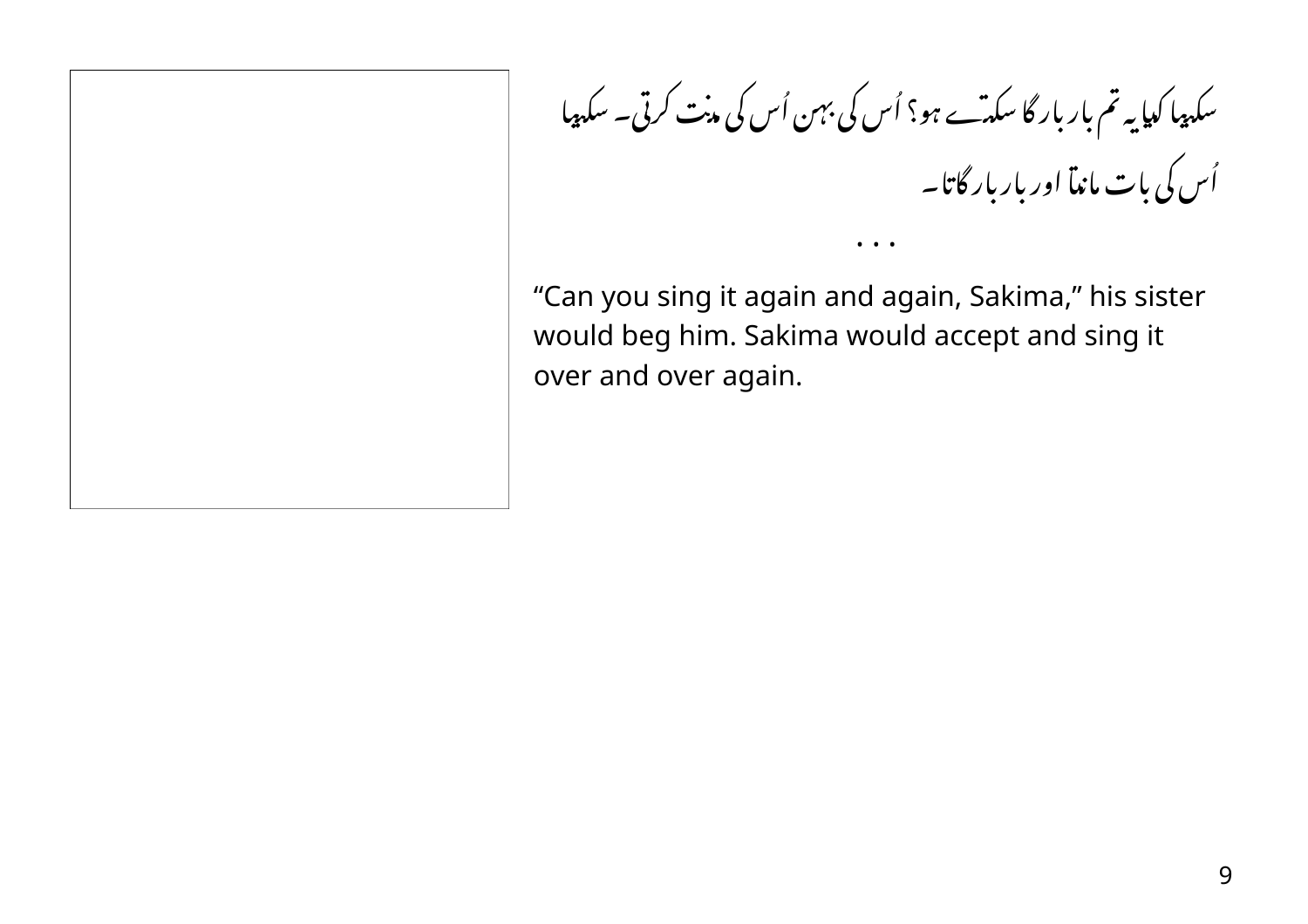سکیپا کدایہ تم بار بار گا سکتے ہو؟ اُس کی بہن اُس کی م<sup>ن</sup>ت کرتی۔ سکیپا اُس کی بات ماندا اور بار بار گاتا۔

"Can you sing it again and again, Sakima," his sister would beg him. Sakima would accept and sing it over and over again.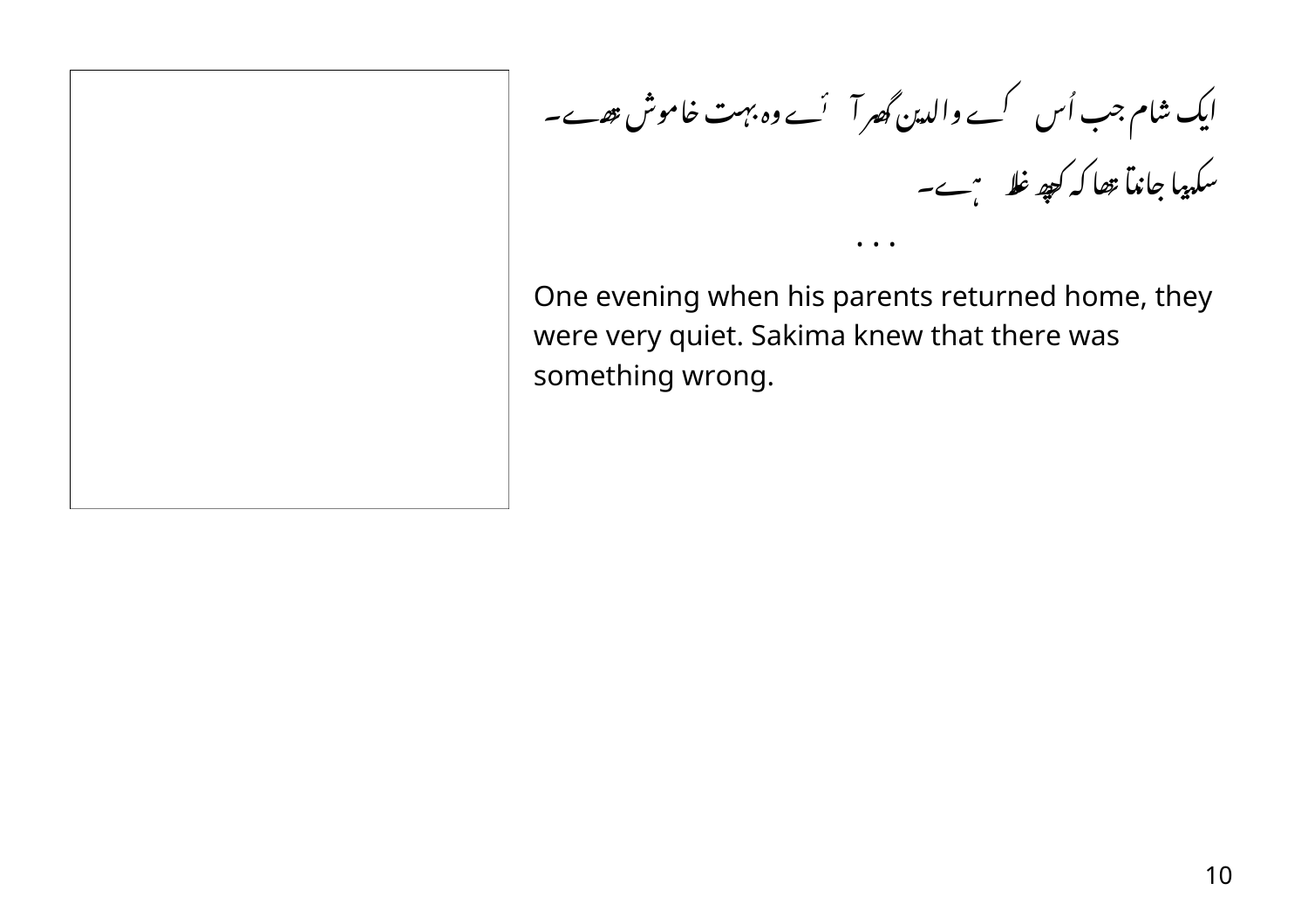One evening when his parents returned home, they were very quiet. Sakima knew that there was something wrong.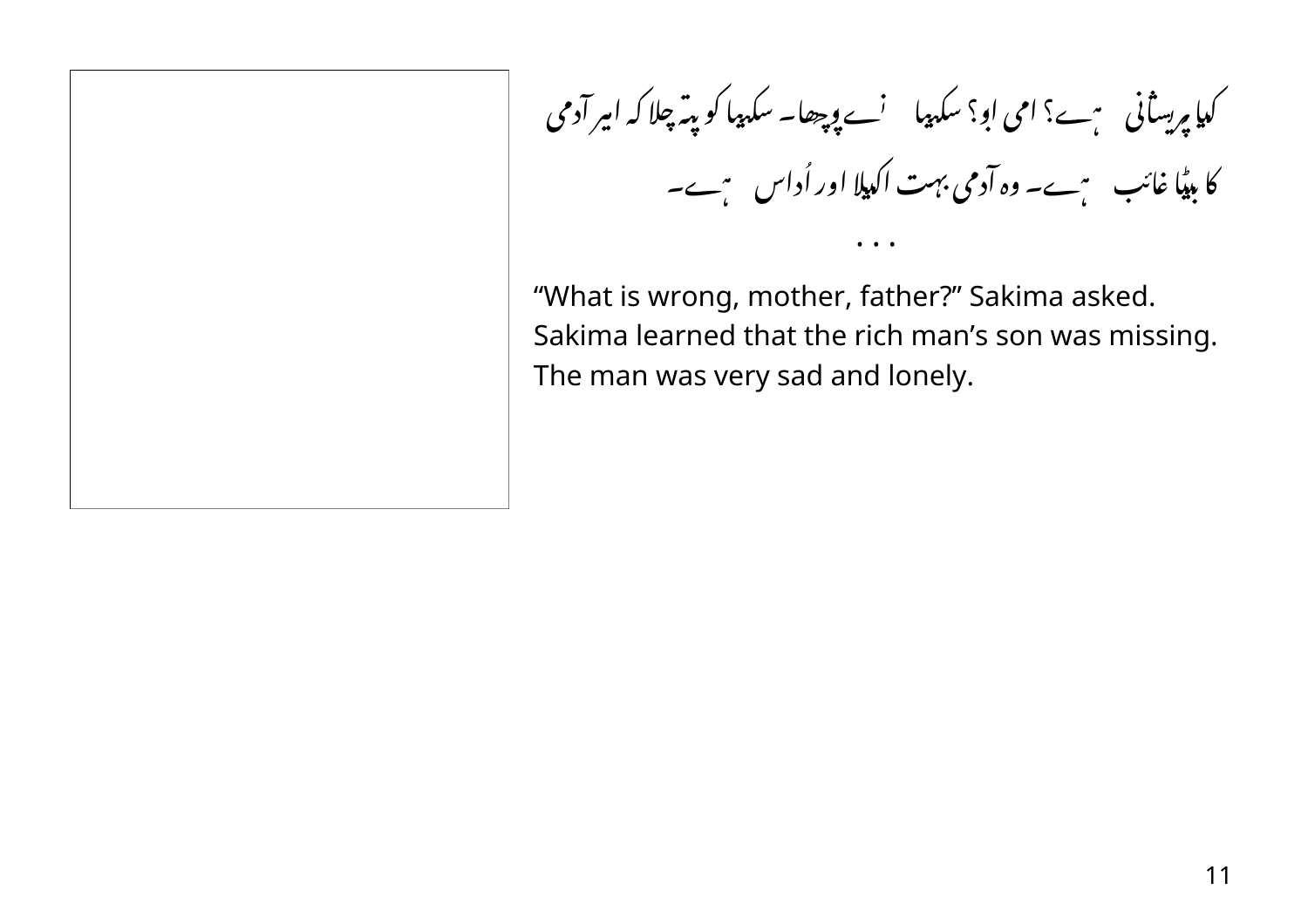کیا پریساُنی ہے؟ امی او؟ سکیپا پنے پوچھا۔ سکیپا کو پِتہ چلا کہ امیر آدمی کا بیٹا غائب ہے۔ وہ آدمی بہت اکہلا اور اُداس ہے۔

"What is wrong, mother, father?" Sakima asked. Sakima learned that the rich man's son was missing. The man was very sad and lonely.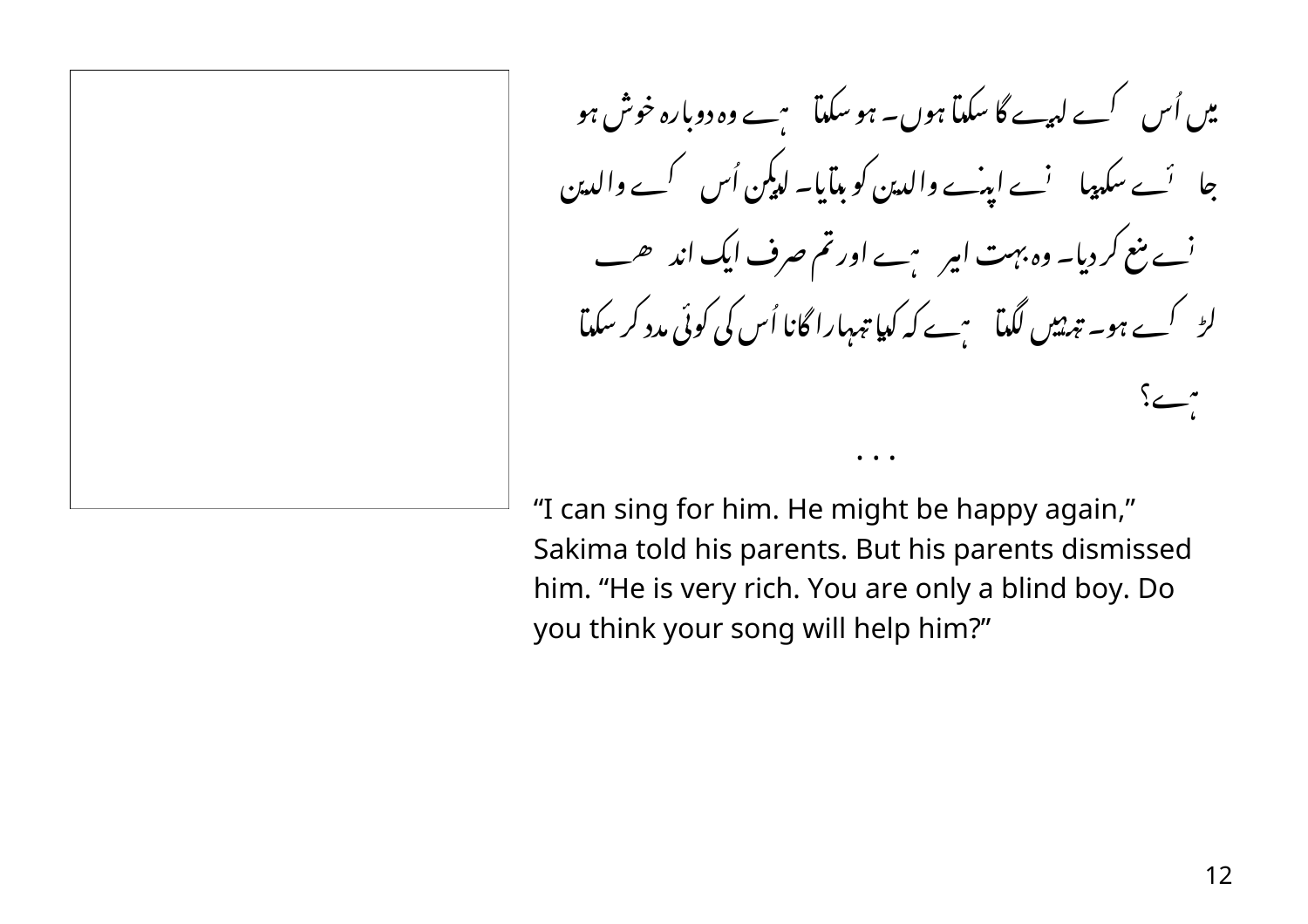"I can sing for him. He might be happy again," Sakima told his parents. But his parents dismissed him. "He is very rich. You are only a blind boy. Do you think your song will help him?"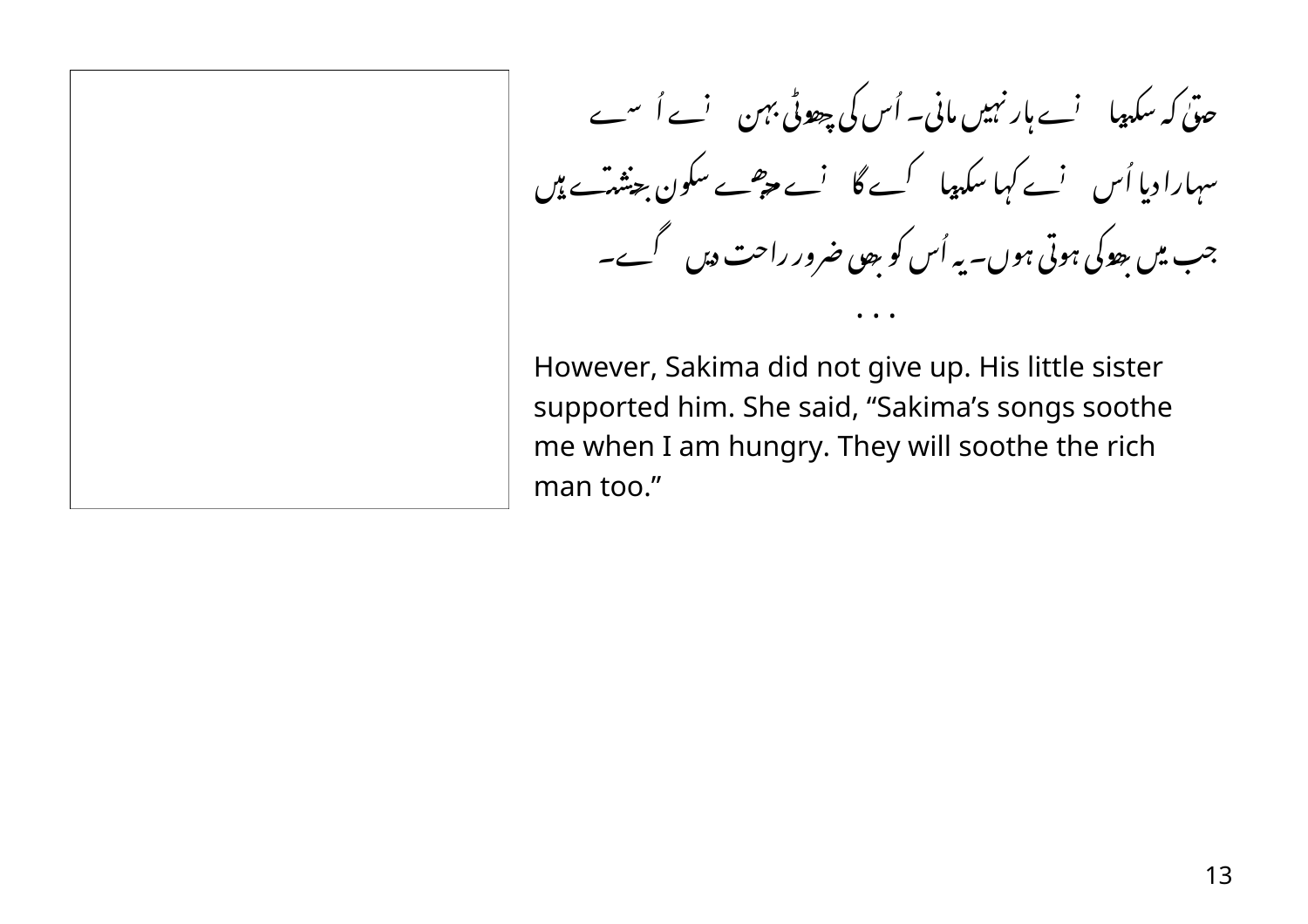حتیٰ کہ سکہیا 'ے بار نہیں مانی۔ اُس کی چھوٹی بہن ''ے اُ سے سہارا دیا اُس ِ نے کہا سکہپا کے گا ِ نے حر<sup>ص</sup>ے سکون ج<sup>یش</sup>تے ہیں جب میں ہوگی ہوتی ہوں۔ یہ اُس کو ہوں ضرور راحت دیں گے۔

However, Sakima did not give up. His little sister supported him. She said, "Sakima's songs soothe me when I am hungry. They will soothe the rich man too."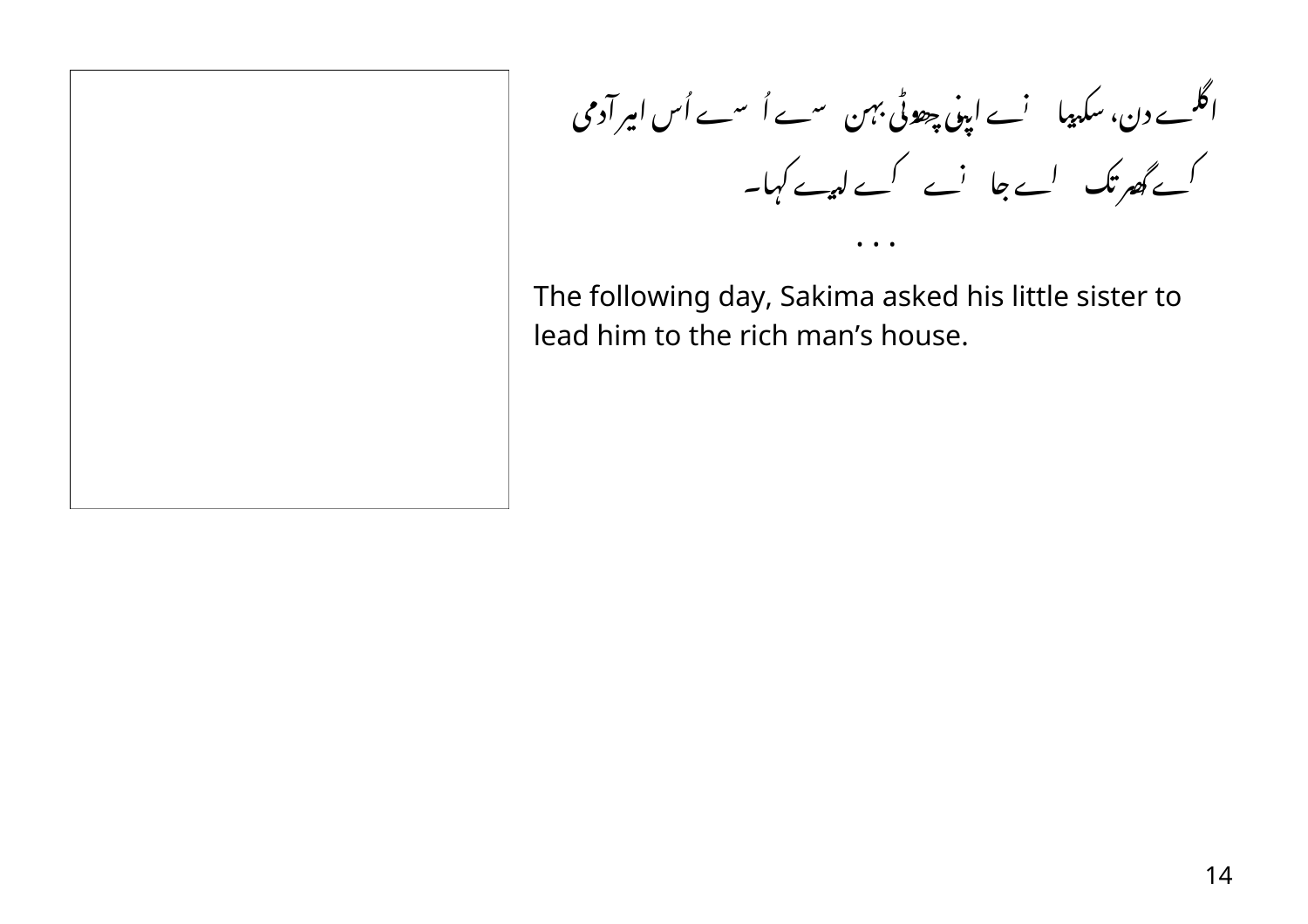اگلب دن، سکیپا نے اپنی چھوٹی بہن سے اُ سے اُس امیر آدمی<br>کے گھرتک لے جا نے کے لیے کہا۔

The following day, Sakima asked his little sister to lead him to the rich man's house.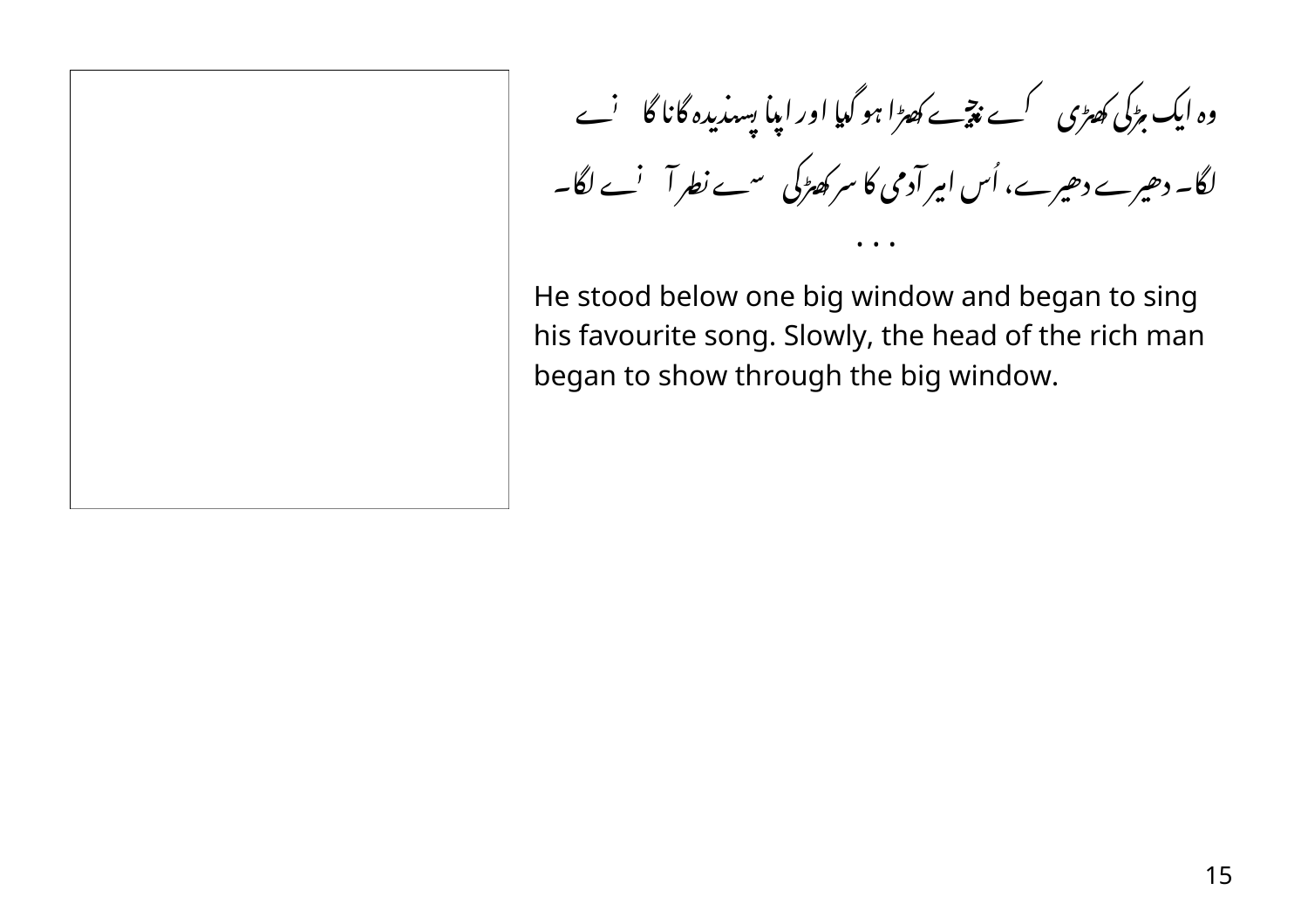وہ ایک مڑکی کھڑی کے نتیجے کھڑا ہو گیا اور اپنا پسندیدہ گانا گا لیے ں<br>لگا۔ دھیرے دھیرے، اُس امیر آدمی کا سر کھڑکی س<sup>ے</sup> نطر آ <sup>ف</sup>ے لگا۔

He stood below one big window and began to sing his favourite song. Slowly, the head of the rich man began to show through the big window.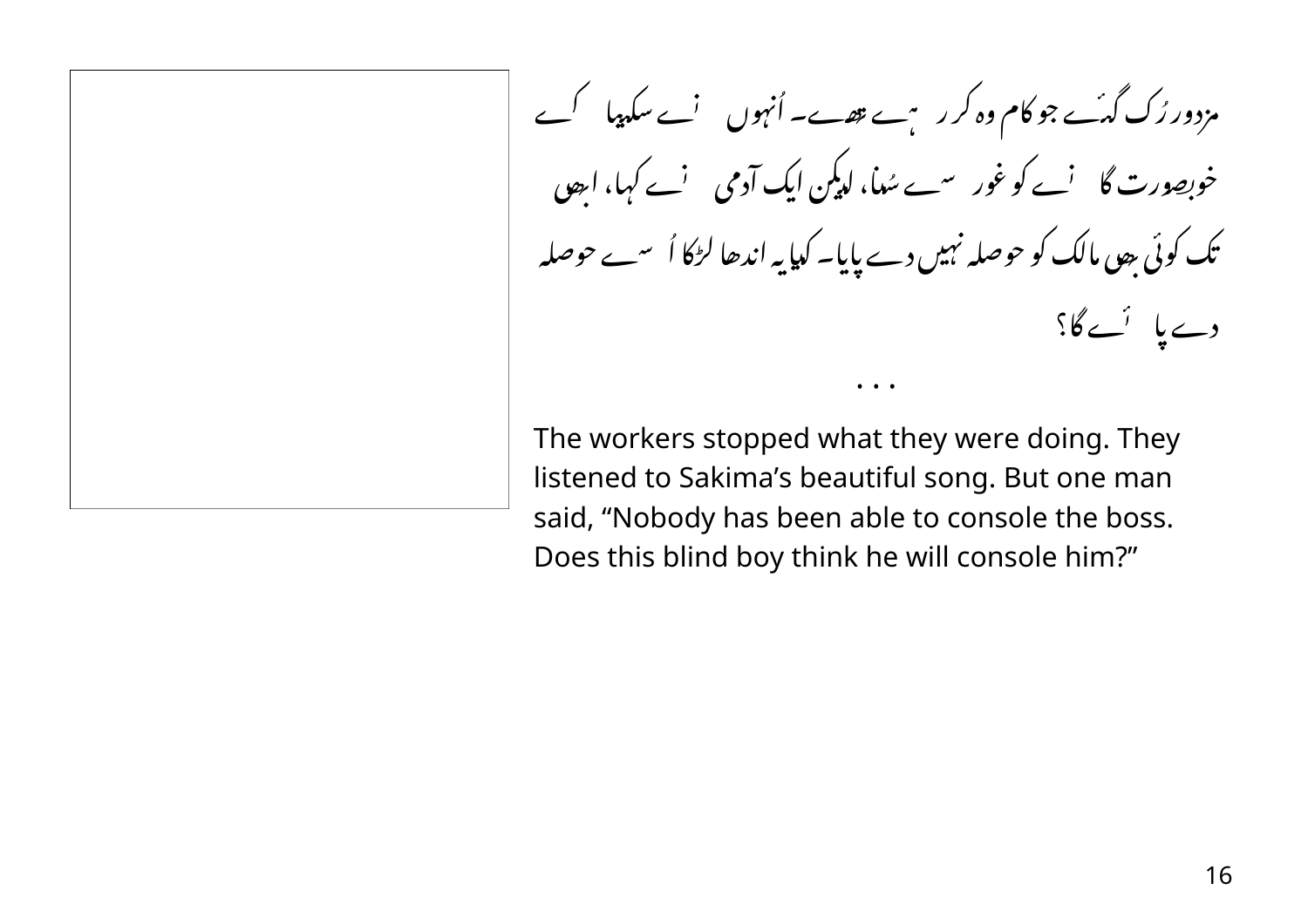The workers stopped what they were doing. They listened to Sakima's beautiful song. But one man said, "Nobody has been able to console the boss. Does this blind boy think he will console him?"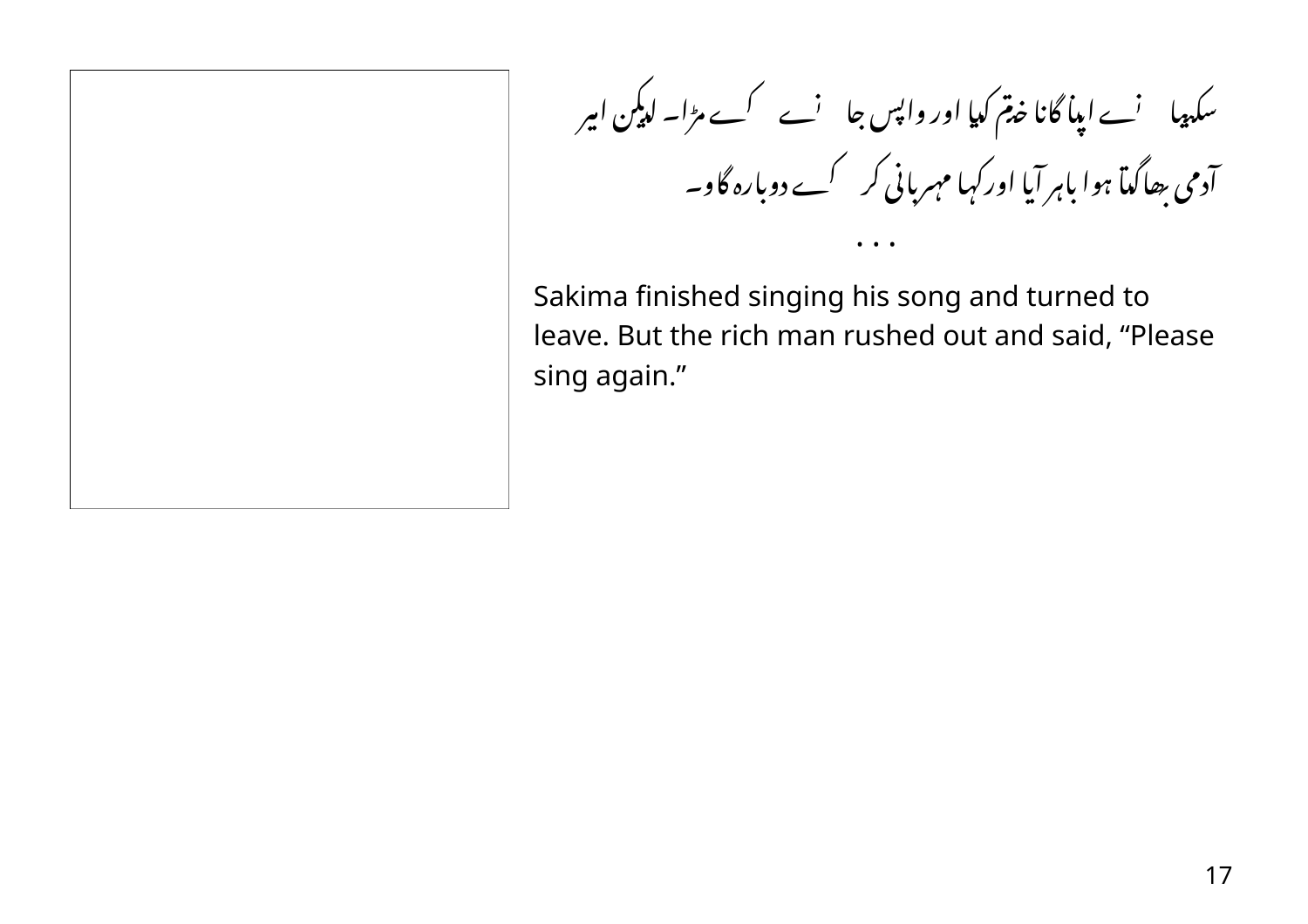سکہیا 'سے اپنا گانا خدم کیا اور واپس جا 'سے کے مڑا۔ لیکن ایر ۔<br>آدمی ہھاگہآ ہوا باہر آیا اورکہا مہربانی کر سطحے دوبارہ گاو۔

Sakima finished singing his song and turned to leave. But the rich man rushed out and said, "Please sing again."

 $\bullet\quad \bullet\quad \bullet\quad \bullet$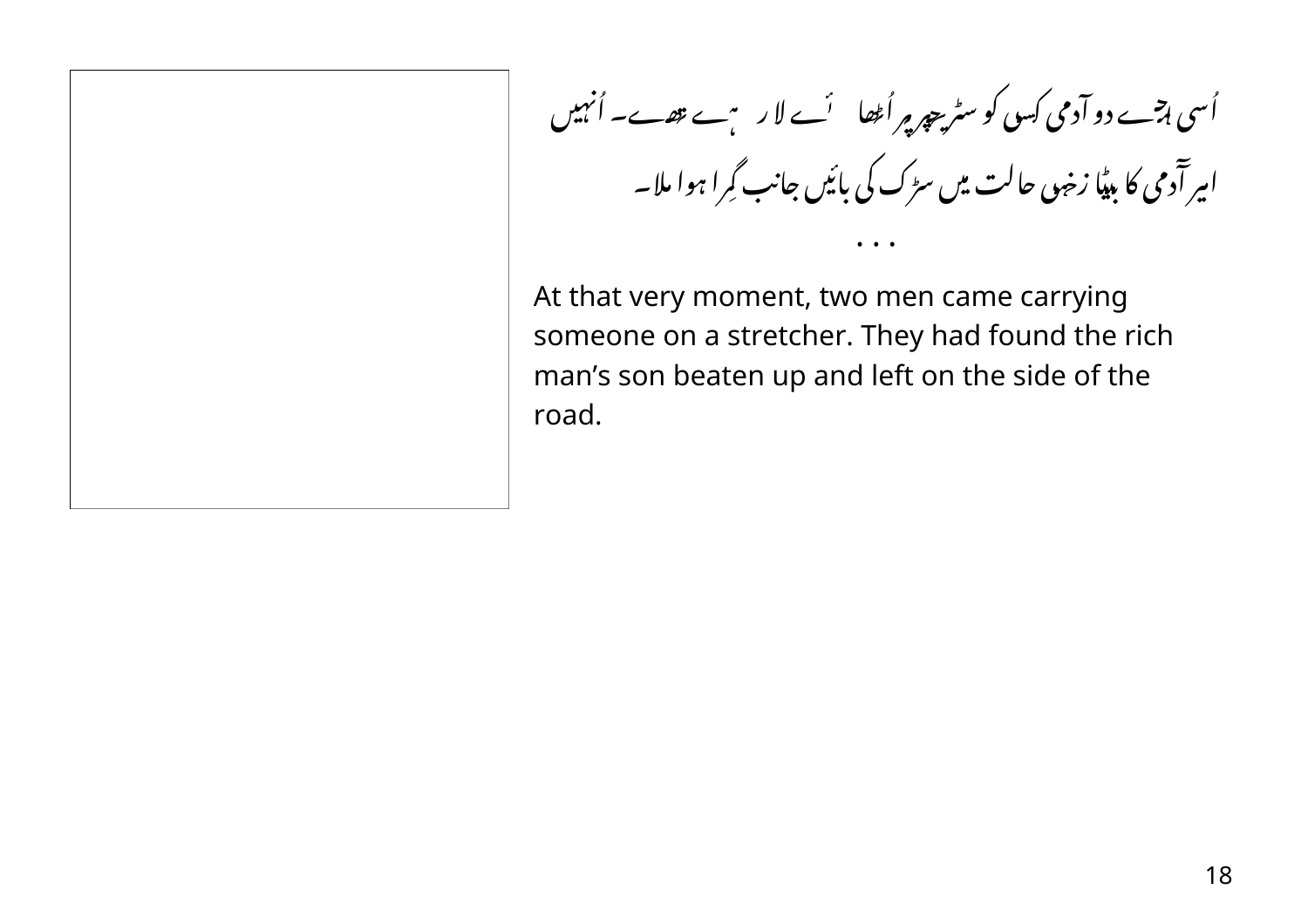اُسی ہ<sup>و</sup>ے دو آدمی ک<sub>س</sub>ی کو سٹر چپر پر اُٹھا گُے لا رہیں ہے۔ تھے۔ اُنہیں ۔<br>امیر آدمی کا م<sub>ن</sub>یا زخی<sub>ف</sub> حالت میں سڑک کی بائیں جانب گرا ہوا ملا۔

At that very moment, two men came carrying someone on a stretcher. They had found the rich man's son beaten up and left on the side of the road.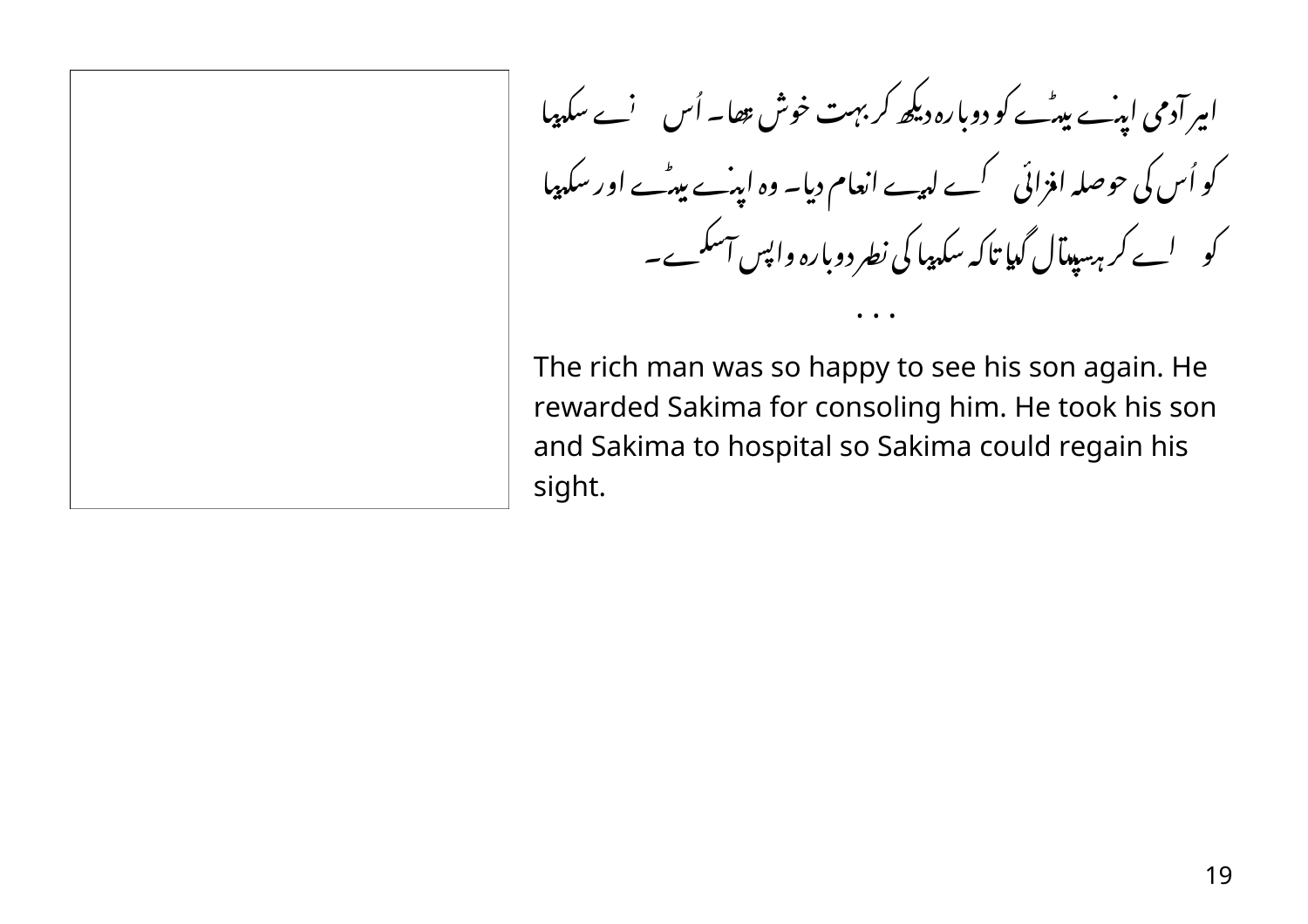امیر آدمی اپنے بیٹے کو دوبارہ دیکھ کر بہت خوش <sub>ت</sub>ھا۔ اُس ِ نے سکہ<sub>ت</sub>ا<br>کو اُس کی حوصلہ افزائی کے لہ<sub>ت</sub>ے انعام دیا۔ وہ اپنے بیٹے اور سکہ<sub>ت</sub>ا<br>کو لے کر ہ<sub>ن</sub>سپتال گلیا تاکہ سکہ<sub>ت</sub>ا کی نطر دوبارہ واپس آسکے۔

The rich man was so happy to see his son again. He rewarded Sakima for consoling him. He took his son and Sakima to hospital so Sakima could regain his sight.